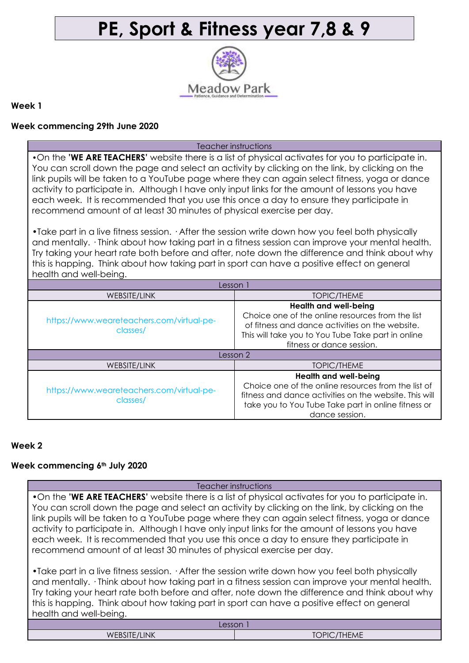# **PE, Sport & Fitness year 7,8 & 9**



#### **Week 1**

## **Week commencing 29th June 2020**

Teacher instructions

•On the **'WE ARE TEACHERS'** website there is a list of physical activates for you to participate in. You can scroll down the page and select an activity by clicking on the link, by clicking on the link pupils will be taken to a YouTube page where they can again select fitness, yoga or dance activity to participate in. Although I have only input links for the amount of lessons you have each week. It is recommended that you use this once a day to ensure they participate in recommend amount of at least 30 minutes of physical exercise per day.

•Take part in a live fitness session. · After the session write down how you feel both physically and mentally. · Think about how taking part in a fitness session can improve your mental health. Try taking your heart rate both before and after, note down the difference and think about why this is happing. Think about how taking part in sport can have a positive effect on general health and well-being.

| Lesson 1                                              |                                                                                                                                                                                                                        |  |
|-------------------------------------------------------|------------------------------------------------------------------------------------------------------------------------------------------------------------------------------------------------------------------------|--|
| WEBSITE/LINK                                          | TOPIC/THEME                                                                                                                                                                                                            |  |
| https://www.weareteachers.com/virtual-pe-<br>classes/ | <b>Health and well-being</b><br>Choice one of the online resources from the list<br>of fitness and dance activities on the website.<br>This will take you to You Tube Take part in online<br>fitness or dance session. |  |
| Lesson 2                                              |                                                                                                                                                                                                                        |  |
| WEBSITE/LINK                                          | TOPIC/THEME                                                                                                                                                                                                            |  |
| https://www.weareteachers.com/virtual-pe-<br>classes/ | <b>Health and well-being</b><br>Choice one of the online resources from the list of<br>fitness and dance activities on the website. This will<br>take you to You Tube Take part in online fitness or<br>dance session. |  |

## **Week 2**

## **Week commencing 6th July 2020**

| Teacher instructions                                                                                                                                                                                                                                                                                                                                                                                                                                                                                                                                                           |  |  |
|--------------------------------------------------------------------------------------------------------------------------------------------------------------------------------------------------------------------------------------------------------------------------------------------------------------------------------------------------------------------------------------------------------------------------------------------------------------------------------------------------------------------------------------------------------------------------------|--|--|
| .On the 'WE ARE TEACHERS' website there is a list of physical activates for you to participate in.<br>You can scroll down the page and select an activity by clicking on the link, by clicking on the<br>link pupils will be taken to a YouTube page where they can again select fitness, yoga or dance<br>activity to participate in. Although I have only input links for the amount of lessons you have<br>each week. It is recommended that you use this once a day to ensure they participate in<br>recommend amount of at least 30 minutes of physical exercise per day. |  |  |
| • Take part in a live fitness session. $\cdot$ After the session write down how you feel both physically<br>and mentally. · Think about how taking part in a fitness session can improve your mental health.<br>Try taking your heart rate both before and after, note down the difference and think about why<br>this is happing. Think about how taking part in sport can have a positive effect on general<br>health and well-being.                                                                                                                                        |  |  |
| Lesson                                                                                                                                                                                                                                                                                                                                                                                                                                                                                                                                                                         |  |  |

WEBSITE/LINK TOPIC/THEME